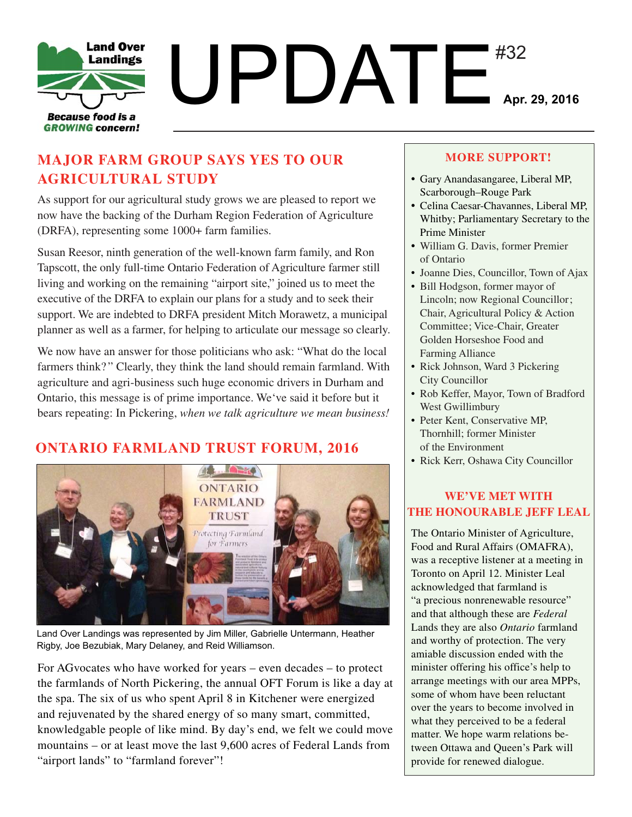

# **MAJOR FARM GROUP SAYS YES TO OUR AGRICULTURAL STUDY**

As support for our agricultural study grows we are pleased to report we now have the backing of the Durham Region Federation of Agriculture (DRFA), representing some 1000+ farm families.

Susan Reesor, ninth generation of the well-known farm family, and Ron Tapscott, the only full-time Ontario Federation of Agriculture farmer still living and working on the remaining "airport site," joined us to meet the executive of the DRFA to explain our plans for a study and to seek their support. We are indebted to DRFA president Mitch Morawetz, a municipal planner as well as a farmer, for helping to articulate our message so clearly.

We now have an answer for those politicians who ask: "What do the local farmers think? " Clearly, they think the land should remain farmland. With agriculture and agri-business such huge economic drivers in Durham and Ontario, this message is of prime importance. We've said it before but it bears repeating: In Pickering, *when we talk agriculture we mean business!*

# **ONTARIO FARMLAND TRUST FORUM, 2016**



Land Over Landings was represented by Jim Miller, Gabrielle Untermann, Heather Rigby, Joe Bezubiak, Mary Delaney, and Reid Williamson.

For AGvocates who have worked for years – even decades – to protect the farmlands of North Pickering, the annual OFT Forum is like a day at the spa. The six of us who spent April 8 in Kitchener were energized and rejuvenated by the shared energy of so many smart, committed, knowledgable people of like mind. By day's end, we felt we could move mountains – or at least move the last 9,600 acres of Federal Lands from "airport lands" to "farmland forever"!

#### **MORE SUPPORT!**

- Gary Anandasangaree, Liberal MP, Scarborough–Rouge Park
- Celina Caesar-Chavannes, Liberal MP, Whitby; Parliamentary Secretary to the Prime Minister
- William G. Davis, former Premier of Ontario
- Joanne Dies, Councillor, Town of Ajax
- Bill Hodgson, former mayor of Lincoln; now Regional Councillor; Chair, Agricultural Policy & Action Committee; Vice-Chair, Greater Golden Horseshoe Food and Farming Alliance
- Rick Johnson, Ward 3 Pickering City Councillor
- Rob Keffer, Mayor, Town of Bradford West Gwillimbury
- Peter Kent, Conservative MP, Thornhill; former Minister of the Environment
- Rick Kerr, Oshawa City Councillor

## **WE'VE MET WITH THE HONOURABLE JEFF LEAL**

The Ontario Minister of Agriculture, Food and Rural Affairs (OMAFRA), was a receptive listener at a meeting in Toronto on April 12. Minister Leal acknowledged that farmland is "a precious nonrenewable resource" and that although these are *Federal* Lands they are also *Ontario* farmland and worthy of protection. The very amiable discussion ended with the minister offering his office's help to arrange meetings with our area MPPs, some of whom have been reluctant over the years to become involved in what they perceived to be a federal matter. We hope warm relations between Ottawa and Queen's Park will provide for renewed dialogue.